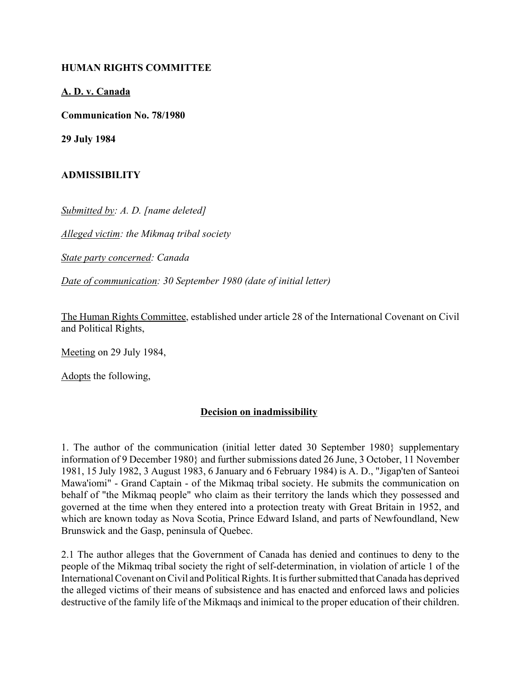### **HUMAN RIGHTS COMMITTEE**

### **A. D. v. Canada**

**Communication No. 78/1980**

**29 July 1984**

# **ADMISSIBILITY**

*Submitted by: A. D. [name deleted]* 

*Alleged victim: the Mikmaq tribal society* 

*State party concerned: Canada* 

*Date of communication: 30 September 1980 (date of initial letter)* 

The Human Rights Committee, established under article 28 of the International Covenant on Civil and Political Rights,

Meeting on 29 July 1984,

Adopts the following,

# **Decision on inadmissibility**

1. The author of the communication (initial letter dated 30 September 1980} supplementary information of 9 December 1980} and further submissions dated 26 June, 3 October, 11 November 1981, 15 July 1982, 3 August 1983, 6 January and 6 February 1984) is A. D., "Jigap'ten of Santeoi Mawa'iomi" - Grand Captain - of the Mikmaq tribal society. He submits the communication on behalf of "the Mikmaq people" who claim as their territory the lands which they possessed and governed at the time when they entered into a protection treaty with Great Britain in 1952, and which are known today as Nova Scotia, Prince Edward Island, and parts of Newfoundland, New Brunswick and the Gasp, peninsula of Quebec.

2.1 The author alleges that the Government of Canada has denied and continues to deny to the people of the Mikmaq tribal society the right of self-determination, in violation of article 1 of the International Covenant on Civil and Political Rights. It is further submitted that Canada has deprived the alleged victims of their means of subsistence and has enacted and enforced laws and policies destructive of the family life of the Mikmaqs and inimical to the proper education of their children.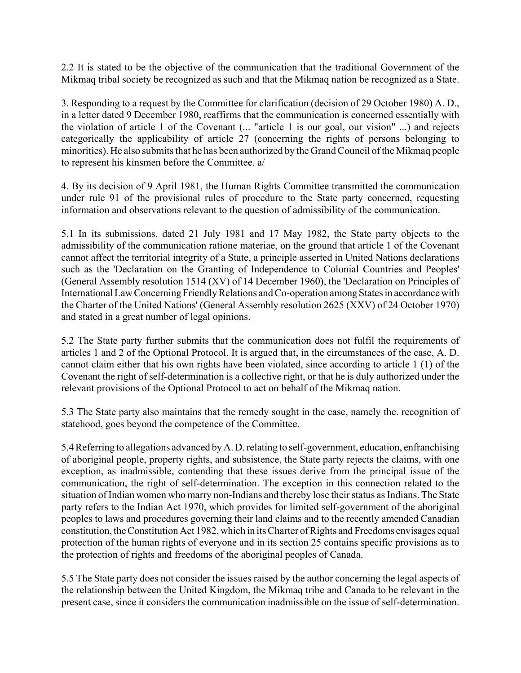2.2 It is stated to be the objective of the communication that the traditional Government of the Mikmaq tribal society be recognized as such and that the Mikmaq nation be recognized as a State.

3. Responding to a request by the Committee for clarification (decision of 29 October 1980) A. D., in a letter dated 9 December 1980, reaffirms that the communication is concerned essentially with the violation of article 1 of the Covenant (... "article 1 is our goal, our vision" ...) and rejects categorically the applicability of article 27 (concerning the rights of persons belonging to minorities). He also submits that he has been authorized by the Grand Council of the Mikmaq people to represent his kinsmen before the Committee. a/

4. By its decision of 9 April 1981, the Human Rights Committee transmitted the communication under rule 91 of the provisional rules of procedure to the State party concerned, requesting information and observations relevant to the question of admissibility of the communication.

5.1 In its submissions, dated 21 July 1981 and 17 May 1982, the State party objects to the admissibility of the communication ratione materiae, on the ground that article 1 of the Covenant cannot affect the territorial integrity of a State, a principle asserted in United Nations declarations such as the 'Declaration on the Granting of Independence to Colonial Countries and Peoples' (General Assembly resolution 1514 (XV) of 14 December 1960), the 'Declaration on Principles of International Law Concerning Friendly Relations and Co-operation among States in accordance with the Charter of the United Nations' (General Assembly resolution 2625 (XXV) of 24 October 1970) and stated in a great number of legal opinions.

5.2 The State party further submits that the communication does not fulfil the requirements of articles 1 and 2 of the Optional Protocol. It is argued that, in the circumstances of the case, A. D. cannot claim either that his own rights have been violated, since according to article 1 (1) of the Covenant the right of self-determination is a collective right, or that he is duly authorized under the relevant provisions of the Optional Protocol to act on behalf of the Mikmaq nation.

5.3 The State party also maintains that the remedy sought in the case, namely the. recognition of statehood, goes beyond the competence of the Committee.

5.4 Referring to allegations advanced by A. D. relating to self-government, education, enfranchising of aboriginal people, property rights, and subsistence, the State party rejects the claims, with one exception, as inadmissible, contending that these issues derive from the principal issue of the communication, the right of self-determination. The exception in this connection related to the situation of Indian women who marry non-Indians and thereby lose their status as Indians. The State party refers to the Indian Act 1970, which provides for limited self-government of the aboriginal peoples to laws and procedures governing their land claims and to the recently amended Canadian constitution, the Constitution Act 1982, which in its Charter of Rights and Freedoms envisages equal protection of the human rights of everyone and in its section 25 contains specific provisions as to the protection of rights and freedoms of the aboriginal peoples of Canada.

5.5 The State party does not consider the issues raised by the author concerning the legal aspects of the relationship between the United Kingdom, the Mikmaq tribe and Canada to be relevant in the present case, since it considers the communication inadmissible on the issue of self-determination.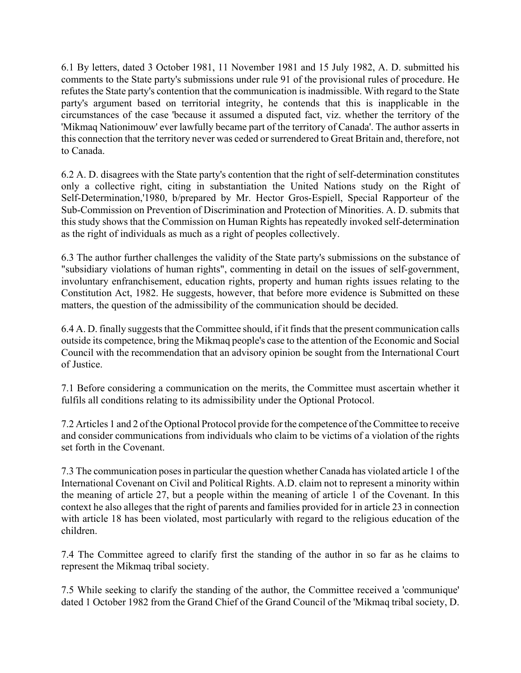6.1 By letters, dated 3 October 1981, 11 November 1981 and 15 July 1982, A. D. submitted his comments to the State party's submissions under rule 91 of the provisional rules of procedure. He refutes the State party's contention that the communication is inadmissible. With regard to the State party's argument based on territorial integrity, he contends that this is inapplicable in the circumstances of the case 'because it assumed a disputed fact, viz. whether the territory of the 'Mikmaq Nationimouw' ever lawfully became part of the territory of Canada'. The author asserts in this connection that the territory never was ceded or surrendered to Great Britain and, therefore, not to Canada.

6.2 A. D. disagrees with the State party's contention that the right of self-determination constitutes only a collective right, citing in substantiation the United Nations study on the Right of Self-Determination,'1980, b/prepared by Mr. Hector Gros-Espiell, Special Rapporteur of the Sub-Commission on Prevention of Discrimination and Protection of Minorities. A. D. submits that this study shows that the Commission on Human Rights has repeatedly invoked self-determination as the right of individuals as much as a right of peoples collectively.

6.3 The author further challenges the validity of the State party's submissions on the substance of "subsidiary violations of human rights", commenting in detail on the issues of self-government, involuntary enfranchisement, education rights, property and human rights issues relating to the Constitution Act, 1982. He suggests, however, that before more evidence is Submitted on these matters, the question of the admissibility of the communication should be decided.

6.4 A. D. finally suggests that the Committee should, if it finds that the present communication calls outside its competence, bring the Mikmaq people's case to the attention of the Economic and Social Council with the recommendation that an advisory opinion be sought from the International Court of Justice.

7.1 Before considering a communication on the merits, the Committee must ascertain whether it fulfils all conditions relating to its admissibility under the Optional Protocol.

7.2 Articles 1 and 2 of the Optional Protocol provide for the competence of the Committee to receive and consider communications from individuals who claim to be victims of a violation of the rights set forth in the Covenant.

7.3 The communication poses in particular the question whether Canada has violated article 1 of the International Covenant on Civil and Political Rights. A.D. claim not to represent a minority within the meaning of article 27, but a people within the meaning of article 1 of the Covenant. In this context he also alleges that the right of parents and families provided for in article 23 in connection with article 18 has been violated, most particularly with regard to the religious education of the children.

7.4 The Committee agreed to clarify first the standing of the author in so far as he claims to represent the Mikmaq tribal society.

7.5 While seeking to clarify the standing of the author, the Committee received a 'communique' dated 1 October 1982 from the Grand Chief of the Grand Council of the 'Mikmaq tribal society, D.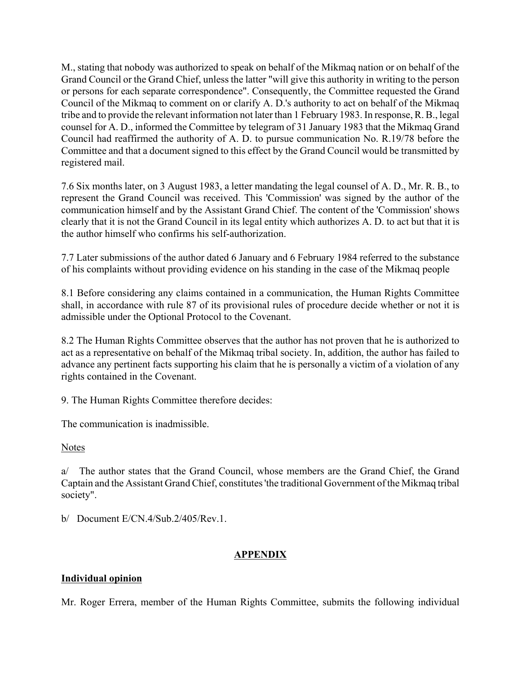M., stating that nobody was authorized to speak on behalf of the Mikmaq nation or on behalf of the Grand Council or the Grand Chief, unless the latter "will give this authority in writing to the person or persons for each separate correspondence". Consequently, the Committee requested the Grand Council of the Mikmaq to comment on or clarify A. D.'s authority to act on behalf of the Mikmaq tribe and to provide the relevant information not later than 1 February 1983. In response, R. B., legal counsel for A. D., informed the Committee by telegram of 31 January 1983 that the Mikmaq Grand Council had reaffirmed the authority of A. D. to pursue communication No. R.19/78 before the Committee and that a document signed to this effect by the Grand Council would be transmitted by registered mail.

7.6 Six months later, on 3 August 1983, a letter mandating the legal counsel of A. D., Mr. R. B., to represent the Grand Council was received. This 'Commission' was signed by the author of the communication himself and by the Assistant Grand Chief. The content of the 'Commission' shows clearly that it is not the Grand Council in its legal entity which authorizes A. D. to act but that it is the author himself who confirms his self-authorization.

7.7 Later submissions of the author dated 6 January and 6 February 1984 referred to the substance of his complaints without providing evidence on his standing in the case of the Mikmaq people

8.1 Before considering any claims contained in a communication, the Human Rights Committee shall, in accordance with rule 87 of its provisional rules of procedure decide whether or not it is admissible under the Optional Protocol to the Covenant.

8.2 The Human Rights Committee observes that the author has not proven that he is authorized to act as a representative on behalf of the Mikmaq tribal society. In, addition, the author has failed to advance any pertinent facts supporting his claim that he is personally a victim of a violation of any rights contained in the Covenant.

9. The Human Rights Committee therefore decides:

The communication is inadmissible.

Notes

a/ The author states that the Grand Council, whose members are the Grand Chief, the Grand Captain and the Assistant Grand Chief, constitutes 'the traditional Government of the Mikmaq tribal society".

b/ Document E/CN.4/Sub.2/405/Rev.1.

# **APPENDIX**

# **Individual opinion**

Mr. Roger Errera, member of the Human Rights Committee, submits the following individual